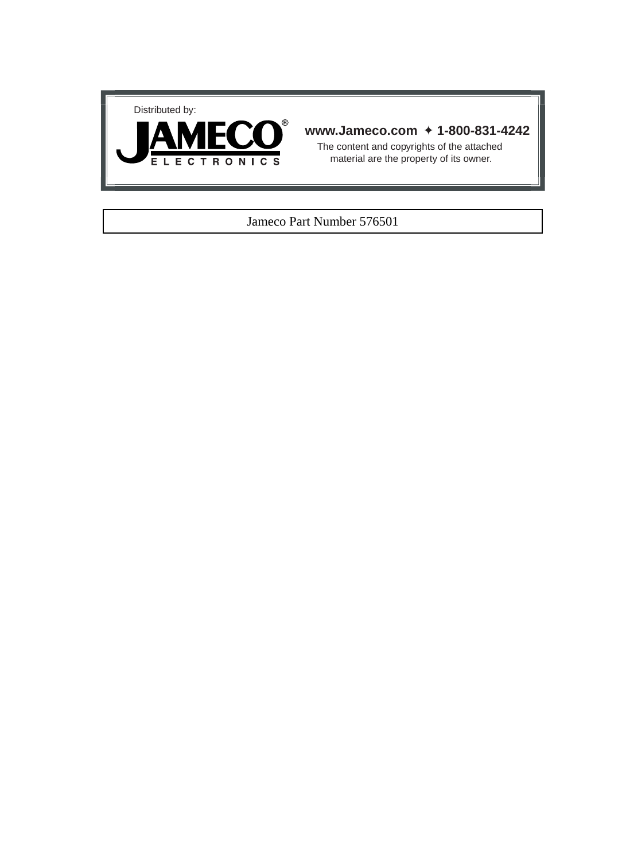



## **www.Jameco.com** ✦ **1-800-831-4242**

The content and copyrights of the attached material are the property of its owner.

## Jameco Part Number 576501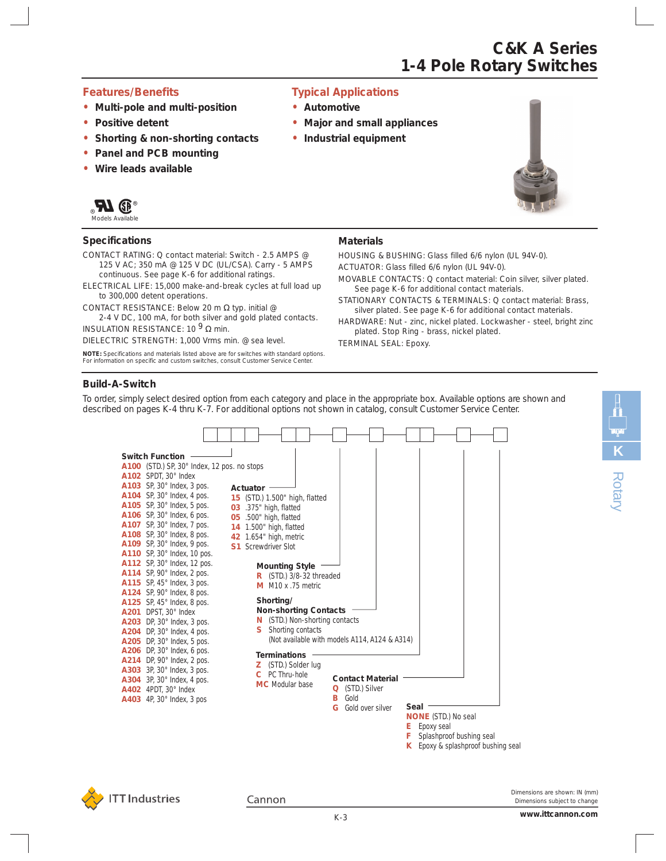### *Features/Benefits*

- **•** *Multi-pole and multi-position*
- *• Positive detent*
- *• Shorting & non-shorting contacts*
- *• Panel and PCB mounting*
- *• Wire leads available*



Models Available

### **Specifications**

- CONTACT RATING: Q contact material: Switch 2.5 AMPS @ 125 V AC; 350 mA @ 125 V DC (UL/CSA). Carry - 5 AMPS continuous. See page K-6 for additional ratings.
- ELECTRICAL LIFE: 15,000 make-and-break cycles at full load up to 300,000 detent operations.
- CONTACT RESISTANCE: Below 20 m Ω typ. initial @ 2-4 V DC, 100 mA, for both silver and gold plated contacts.
- INSULATION RESISTANCE: 10  $9 \Omega$  min.
- DIELECTRIC STRENGTH: 1,000 Vrms min. @ sea level.

**NOTE:** Specifications and materials listed above are for switches with standard options. For information on specific and custom switches, consult Customer Service Center.

### *Typical Applications*

- **•** *Automotive*
- *• Major and small appliances*
- *• Industrial equipment*



**C&K A Series**

**1-4 Pole Rotary Switches**

### **Materials**

HOUSING & BUSHING: Glass filled 6/6 nylon (UL 94V-0).

ACTUATOR: Glass filled 6/6 nylon (UL 94V-0).

- MOVABLE CONTACTS: Q contact material: Coin silver, silver plated. See page K-6 for additional contact materials.
- STATIONARY CONTACTS & TERMINALS: Q contact material: Brass, silver plated. See page K-6 for additional contact materials.
- HARDWARE: Nut zinc, nickel plated. Lockwasher steel, bright zinc plated. Stop Ring - brass, nickel plated.
- TERMINAL SEAL: Epoxy.

### **Build-A-Switch**

To order, simply select desired option from each category and place in the appropriate box. Available options are shown and described on pages K-4 thru K-7. For additional options not shown in catalog, consult Customer Service Center.





Cannon

*Dimensions are shown: IN (mm) Dimensions subject to change*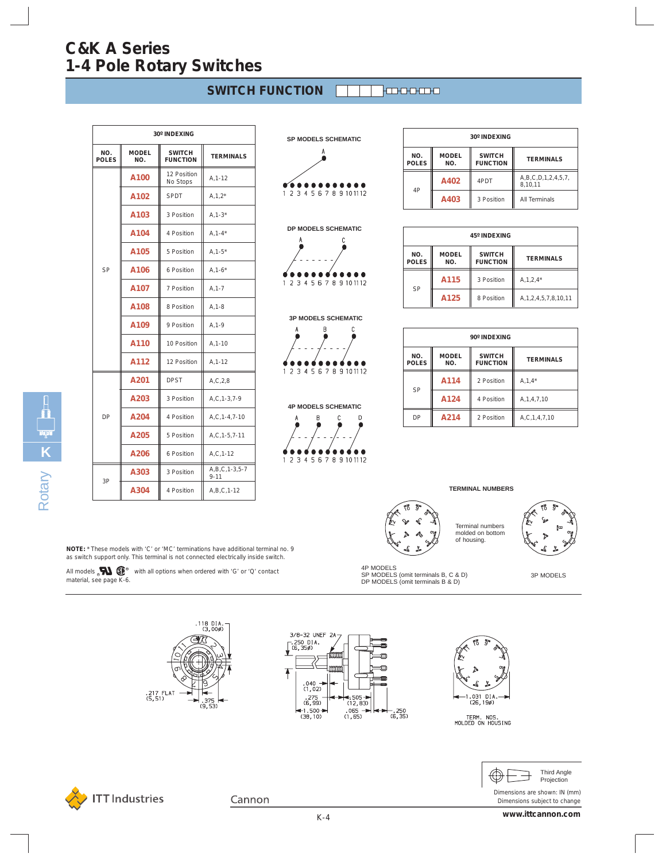| <b>SWITCH FUNCTION</b> |  |  |  |  |  |
|------------------------|--|--|--|--|--|
|------------------------|--|--|--|--|--|

| 30° INDEXING        |                     |                                  |                                 |
|---------------------|---------------------|----------------------------------|---------------------------------|
| NO.<br><b>POLES</b> | <b>MODEL</b><br>NO. | <b>SWITCH</b><br><b>FUNCTION</b> | <b>TERMINALS</b>                |
|                     | A100                | 12 Position<br>No Stops          | A, 1-12                         |
|                     | A102                | <b>SPDT</b>                      | $A, 1, 2^*$                     |
|                     | A103                | 3 Position                       | $A, 1-3*$                       |
|                     | A104                | 4 Position                       | $A, 1 - 4^*$                    |
|                     | A <sub>105</sub>    | 5 Position                       | $A, 1 - 5^*$                    |
| <b>SP</b>           | A106                | 6 Position                       | $A, 1-6*$                       |
|                     | A107                | 7 Position                       | $A, 1 - 7$                      |
|                     | A108                | 8 Position                       | $A, 1-8$                        |
|                     | A109                | 9 Position                       | $A, 1-9$                        |
|                     | A110                | 10 Position                      | $A, 1 - 10$                     |
|                     | A112                | 12 Position                      | $A, 1 - 12$                     |
|                     | A201                | <b>DPST</b>                      | A, C, 2, 8                      |
|                     | A203                | 3 Position                       | $A, C, 1-3, 7-9$                |
| DP                  | A204                | 4 Position                       | $A, C, 1-4, 7-10$               |
|                     | A205                | 5 Position                       | A,C, 1-5, 7-11                  |
|                     | A206                | 6 Position                       | $A, C, 1-12$                    |
|                     | A303                | 3 Position                       | $A, B, C, 1-3, 5-7$<br>$9 - 11$ |
| 3P                  | A304                | 4 Position                       | $A, B, C, 1-12$                 |

**SP MODELS SCHEMATIC** . . . . . . . . . . . 1 2 3 4 5 6 7 8 9 10 11 12





**3P MODELS SCHEMATIC**

**4P MODELS SCHEMATIC**

1 2 3 4 5 6 7 8 9 10 11 12

 $\overline{B}$  $\mathbf{r}$  $\overline{D}$ 

1 2 3 4 5 6 7 8 9 10 11 12



| 45° INDEXING        |                     |                                  |                             |  |
|---------------------|---------------------|----------------------------------|-----------------------------|--|
| NO.<br><b>POLES</b> | <b>MODEL</b><br>NO. | <b>SWITCH</b><br><b>FUNCTION</b> | <b>TERMINALS</b>            |  |
| SP                  | A115                | 3 Position                       | $A, 1, 2, 4^*$              |  |
|                     | A125                | 8 Position                       | A, 1, 2, 4, 5, 7, 8, 10, 11 |  |

| 90° INDEXING        |                     |                                  |                  |  |
|---------------------|---------------------|----------------------------------|------------------|--|
| NO.<br><b>POLES</b> | <b>MODEL</b><br>NO. | <b>SWITCH</b><br><b>FUNCTION</b> | <b>TERMINALS</b> |  |
| SP                  | A114                | 2 Position                       | $A, 1, 4^*$      |  |
|                     | A124                | 4 Position                       | A, 1, 4, 7, 10   |  |
| DP                  | A214                | 2 Position                       | A,C,1,4,7,10     |  |

#### **TERMINAL NUMBERS**



Terminal numbers molded on bottom of housing.



3P MODELS

4P MODELS SP MODELS (omit terminals B, C & D)

DP MODELS (omit terminals B & D)

**K**Rotary

**NOTE:** \* These models with 'C' or 'MC' terminations have additional terminal no. 9 as switch support only. This terminal is not connected electrically inside switch.

All models  $\mathbf{M}$   $\mathbf{\mathbb{C}}^{\circ}$  with all options when ordered with 'G' or 'Q' contact material, see page K-6.







TERM. NOS.<br>MOLDED ON HOUSING



*Dimensions are shown: IN (mm) Dimensions subject to change*



Cannon

**www.ittcannon.com**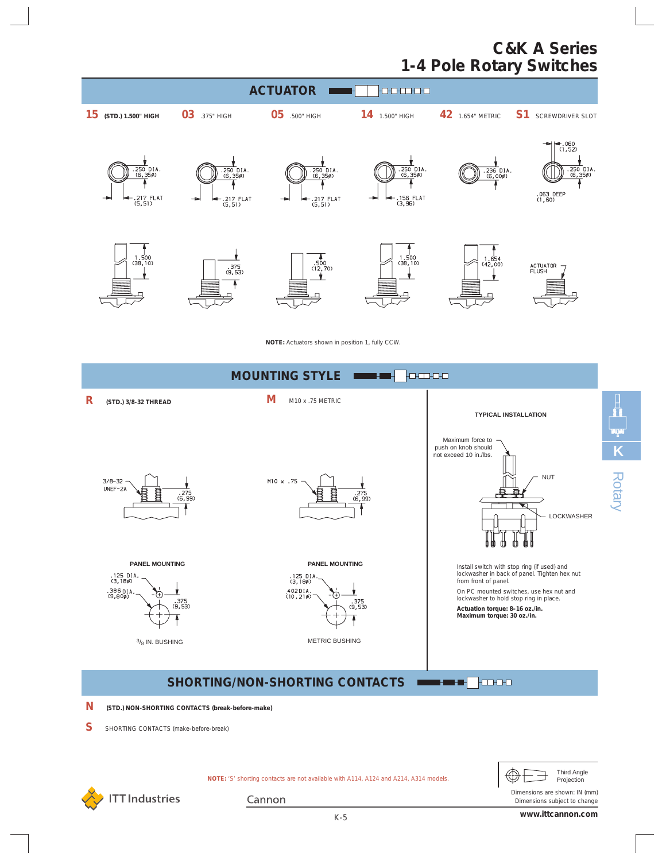

**NOTE:** Actuators shown in position 1, fully CCW.





*Dimensions are shown: IN (mm) Dimensions subject to change*

**NOTE:** 'S' shorting contacts are not available with A114, A124 and A214, A314 models.



Cannon

**www.ittcannon.com**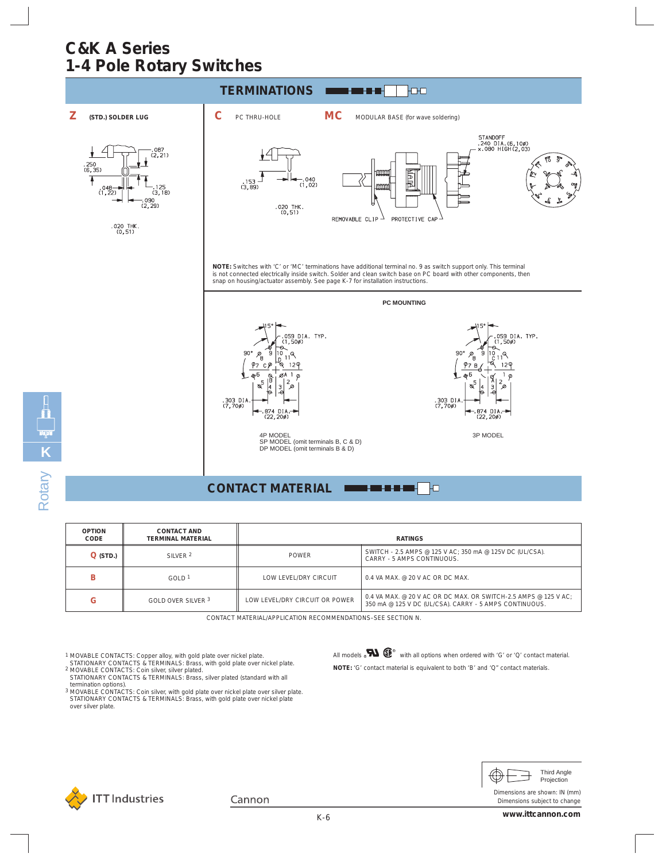

**CONTACT MATERIAL**

| <b>OPTION</b><br>CODE | <b>CONTACT AND</b><br><b>TERMINAL MATERIAL</b> | <b>RATINGS</b>                 |                                                                                                                           |  |
|-----------------------|------------------------------------------------|--------------------------------|---------------------------------------------------------------------------------------------------------------------------|--|
| $Q$ (STD.)            | SILVER <sub>2</sub>                            | <b>POWER</b>                   | SWITCH - 2.5 AMPS @ 125 V AC; 350 mA @ 125V DC (UL/CSA).<br>CARRY - 5 AMPS CONTINUOUS.                                    |  |
|                       | GOLD <sup>1</sup>                              | LOW LEVEL/DRY CIRCUIT          | $0.4$ VA MAX, @ 20 V AC OR DC MAX.                                                                                        |  |
| G                     | GOLD OVER SILVER 3                             | LOW LEVEL/DRY CIRCUIT OR POWER | 0.4 VA MAX, @ 20 V AC OR DC MAX, OR SWITCH-2.5 AMPS @ 125 V AC:<br>350 mA @ 125 V DC (UL/CSA). CARRY - 5 AMPS CONTINUOUS. |  |

CONTACT MATERIAL/APPLICATION RECOMMENDATIONS–SEE SECTION N.

**K**

Rotary

- <sup>1</sup> MOVABLE CONTACTS: Copper alloy, with gold plate over nickel plate.<br>- STATIONARY CONTACTS: & TERMINALS: Brass, with gold plate over nickel plate.<br><sup>2</sup> MOVABLE CONTACTS: Coin silver, silver plated.<br>- STATIONARY CONTACTS:
- termination options). 3 MOVABLE CONTACTS: Coin silver, with gold plate over nickel plate over silver plate. STATIONARY CONTACTS & TERMINALS: Brass, with gold plate over nickel plate
- over silver plate.



٦o



*Dimensions are shown: IN (mm) Dimensions subject to change*

Cannon